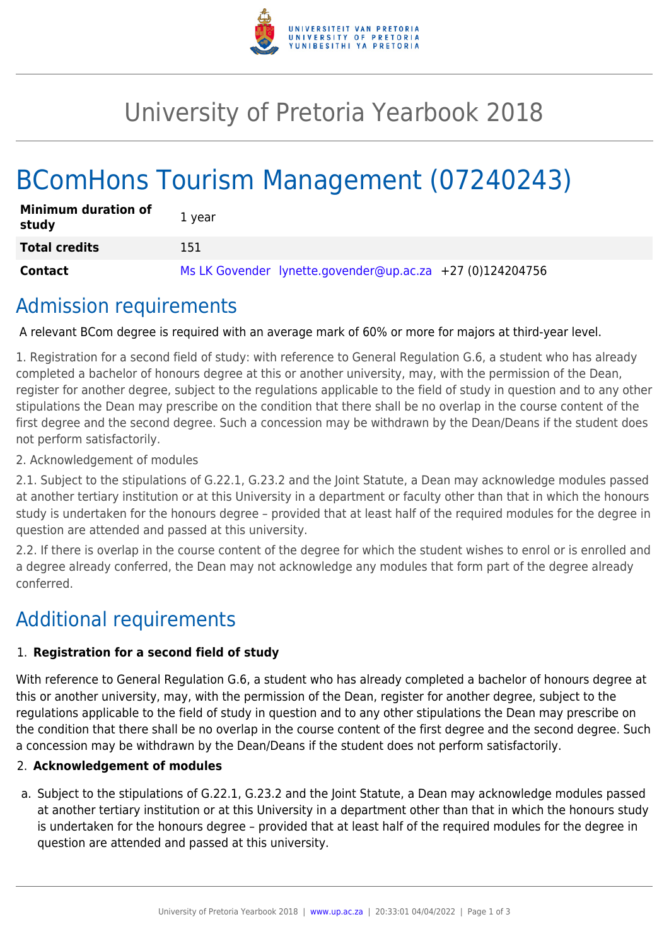

# University of Pretoria Yearbook 2018

# BComHons Tourism Management (07240243)

| <b>Minimum duration of</b><br>study | 1 vear                                                      |
|-------------------------------------|-------------------------------------------------------------|
| <b>Total credits</b>                | 151                                                         |
| Contact                             | Ms LK Govender lynette.govender@up.ac.za $+27$ (0)124204756 |

### Admission requirements

A relevant BCom degree is required with an average mark of 60% or more for majors at third-year level.

1. Registration for a second field of study: with reference to General Regulation G.6, a student who has already completed a bachelor of honours degree at this or another university, may, with the permission of the Dean, register for another degree, subject to the regulations applicable to the field of study in question and to any other stipulations the Dean may prescribe on the condition that there shall be no overlap in the course content of the first degree and the second degree. Such a concession may be withdrawn by the Dean/Deans if the student does not perform satisfactorily.

2. Acknowledgement of modules

2.1. Subject to the stipulations of G.22.1, G.23.2 and the Joint Statute, a Dean may acknowledge modules passed at another tertiary institution or at this University in a department or faculty other than that in which the honours study is undertaken for the honours degree – provided that at least half of the required modules for the degree in question are attended and passed at this university.

2.2. If there is overlap in the course content of the degree for which the student wishes to enrol or is enrolled and a degree already conferred, the Dean may not acknowledge any modules that form part of the degree already conferred.

## Additional requirements

#### 1. **Registration for a second field of study**

With reference to General Regulation G.6, a student who has already completed a bachelor of honours degree at this or another university, may, with the permission of the Dean, register for another degree, subject to the regulations applicable to the field of study in question and to any other stipulations the Dean may prescribe on the condition that there shall be no overlap in the course content of the first degree and the second degree. Such a concession may be withdrawn by the Dean/Deans if the student does not perform satisfactorily.

#### 2. **Acknowledgement of modules**

a. Subject to the stipulations of G.22.1, G.23.2 and the Joint Statute, a Dean may acknowledge modules passed at another tertiary institution or at this University in a department other than that in which the honours study is undertaken for the honours degree – provided that at least half of the required modules for the degree in question are attended and passed at this university.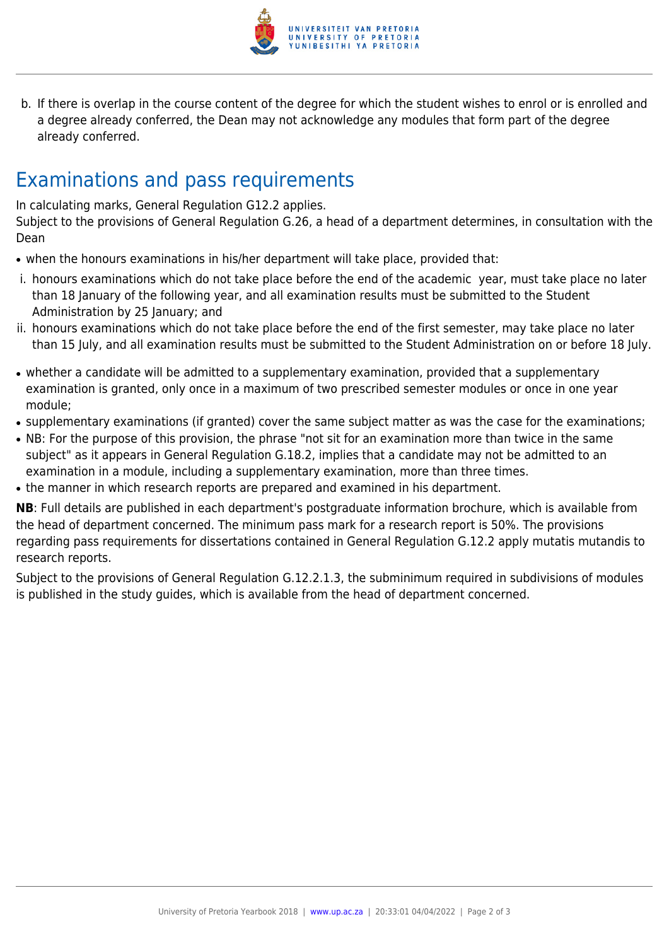

b. If there is overlap in the course content of the degree for which the student wishes to enrol or is enrolled and a degree already conferred, the Dean may not acknowledge any modules that form part of the degree already conferred.

## Examinations and pass requirements

In calculating marks, General Regulation G12.2 applies.

Subject to the provisions of General Regulation G.26, a head of a department determines, in consultation with the Dean

- when the honours examinations in his/her department will take place, provided that:
- i. honours examinations which do not take place before the end of the academic year, must take place no later than 18 January of the following year, and all examination results must be submitted to the Student Administration by 25 January; and
- ii. honours examinations which do not take place before the end of the first semester, may take place no later than 15 July, and all examination results must be submitted to the Student Administration on or before 18 July.
- whether a candidate will be admitted to a supplementary examination, provided that a supplementary examination is granted, only once in a maximum of two prescribed semester modules or once in one year module;
- supplementary examinations (if granted) cover the same subject matter as was the case for the examinations;
- NB: For the purpose of this provision, the phrase "not sit for an examination more than twice in the same subject" as it appears in General Regulation G.18.2, implies that a candidate may not be admitted to an examination in a module, including a supplementary examination, more than three times.
- the manner in which research reports are prepared and examined in his department.

**NB**: Full details are published in each department's postgraduate information brochure, which is available from the head of department concerned. The minimum pass mark for a research report is 50%. The provisions regarding pass requirements for dissertations contained in General Regulation G.12.2 apply mutatis mutandis to research reports.

Subject to the provisions of General Regulation G.12.2.1.3, the subminimum required in subdivisions of modules is published in the study guides, which is available from the head of department concerned.